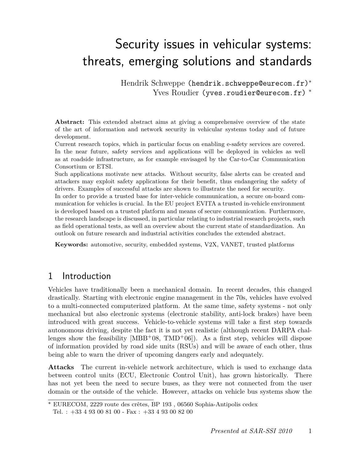# Security issues in vehicular systems: threats, emerging solutions and standards

Hendrik Schweppe (hendrik.schweppe@eurecom.fr)<sup>∗</sup> Yves Roudier (yves.roudier@eurecom.fr) <sup>∗</sup>

Abstract: This extended abstract aims at giving a comprehensive overview of the state of the art of information and network security in vehicular systems today and of future development.

Current research topics, which in particular focus on enabling e-safety services are covered. In the near future, safety services and applications will be deployed in vehicles as well as at roadside infrastructure, as for example envisaged by the Car-to-Car Communication Consortium or ETSI.

Such applications motivate new attacks. Without security, false alerts can be created and attackers may exploit safety applications for their benefit, thus endangering the safety of drivers. Examples of successful attacks are shown to illustrate the need for security.

In order to provide a trusted base for inter-vehicle communication, a secure on-board communication for vehicles is crucial. In the EU project EVITA a trusted in-vehicle environment is developed based on a trusted platform and means of secure communication. Furthermore, the research landscape is discussed, in particular relating to industrial research projects, such as field operational tests, as well an overview about the current state of standardization. An outlook on future research and industrial activities concludes the extended abstract.

**Keywords:** automotive, security, embedded systems, V2X, VANET, trusted platforms

#### 1 Introduction

Vehicles have traditionally been a mechanical domain. In recent decades, this changed drastically. Starting with electronic engine management in the 70s, vehicles have evolved to a multi-connected computerized platform. At the same time, safety systems - not only mechanical but also electronic systems (electronic stability, anti-lock brakes) have been introduced with great success. Vehicle-to-vehicle systems will take a first step towards autonomous driving, despite the fact it is not yet realistic (although recent DARPA challenges show the feasibility  $[MBB<sup>+</sup>08, TMD<sup>+</sup>06$ . As a first step, vehicles will dispose of information provided by road side units (RSUs) and will be aware of each other, thus being able to warn the driver of upcoming dangers early and adequately.

**Attacks** The current in-vehicle network architecture, which is used to exchange data between control units (ECU, Electronic Control Unit), has grown historically. There has not yet been the need to secure buses, as they were not connected from the user domain or the outside of the vehicle. However, attacks on vehicle bus systems show the

<sup>∗</sup> EURECOM, 2229 route des crêtes, BP 193 , 06560 Sophia-Antipolis cedex

Tel. :  $+33$  4 93 00 81 00 - Fax :  $+33$  4 93 00 82 00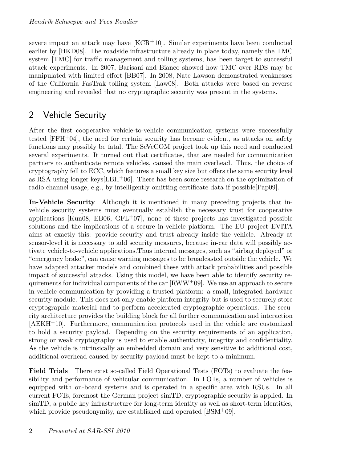severe impact an attack may have  $[KCR<sup>+</sup>10]$ . Similar experiments have been conducted earlier by [HKD08]. The roadside infrastructure already in place today, namely the TMC system [TMC] for traffic management and tolling systems, has been target to successful attack experiments. In 2007, Barisani and Bianco showed how TMC over RDS may be manipulated with limited effort [BB07]. In 2008, Nate Lawson demonstrated weaknesses of the California FasTrak tolling system [Law08]. Both attacks were based on reverse engineering and revealed that no cryptographic security was present in the systems.

### 2 Vehicle Security

After the first cooperative vehicle-to-vehicle communication systems were successfully tested  $[FFH+04]$ , the need for certain security has become evident, as attacks on safety functions may possibly be fatal. The SeVeCOM project took up this need and conducted several experiments. It turned out that certificates, that are needed for communication partners to authenticate remote vehicles, caused the main overhead. Thus, the choice of cryptography fell to ECC, which features a small key size but offers the same security level as RSA using longer keys  $[EBH^+06]$ . There has been some research on the optimization of radio channel usage, e.g., by intelligently omitting certificate data if possible[Pap09].

**In-Vehicle Security** Although it is mentioned in many preceding projects that invehicle security systems must eventually establish the necessary trust for cooperative applications [Kun08, EB06, GFL+07], none of these projects has investigated possible solutions and the implications of a secure in-vehicle platform. The EU project EVITA aims at exactly this: provide security and trust already inside the vehicle. Already at sensor-level it is necessary to add security measures, because in-car data will possibly activate vehicle-to-vehicle applications.Thus internal messages, such as "airbag deployed" or "emergency brake", can cause warning messages to be broadcasted outside the vehicle. We have adapted attacker models and combined these with attack probabilities and possible impact of successful attacks. Using this model, we have been able to identify security requirements for individual components of the car  $[RWW<sup>+</sup>09]$ . We use an approach to secure in-vehicle communication by providing a trusted platform: a small, integrated hardware security module. This does not only enable platform integrity but is used to securely store cryptographic material and to perform accelerated cryptographic operations. The security architecture provides the building block for all further communication and interaction [AEKH<sup>+</sup>10]. Furthermore, communication protocols used in the vehicle are customized to hold a security payload. Depending on the security requirements of an application, strong or weak cryptography is used to enable authenticity, integrity and confidentiality. As the vehicle is intrinsically an embedded domain and very sensitive to additional cost, additional overhead caused by security payload must be kept to a minimum.

**Field Trials** There exist so-called Field Operational Tests (FOTs) to evaluate the feasibility and performance of vehicular communication. In FOTs, a number of vehicles is equipped with on-board systems and is operated in a specific area with RSUs. In all current FOTs, foremost the German project simTD, cryptographic security is applied. In simTD, a public key infrastructure for long-term identity as well as short-term identities, which provide pseudonymity, are established and operated [BSM+09].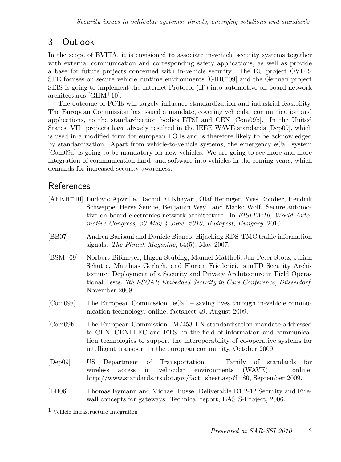## 3 Outlook

In the scope of EVITA, it is envisioned to associate in-vehicle security systems together with external communication and corresponding safety applications, as well as provide a base for future projects concerned with in-vehicle security. The EU project OVER-SEE focuses on secure vehicle runtime environments  $\left[GHR^+09\right]$  and the German project SEIS is going to implement the Internet Protocol (IP) into automotive on-board network architectures [GHM<sup>+</sup>10].

The outcome of FOTs will largely influence standardization and industrial feasibility. The European Commission has issued a mandate, covering vehicular communication and applications, to the standardization bodies ETSI and CEN [Com09b]. In the United States, VII<sup>1</sup> projects have already resulted in the IEEE WAVE standards [Dep09], which is used in a modified form for european FOTs and is therefore likely to be acknowledged by standardization. Apart from vehicle-to-vehicle systems, the emergency eCall system [Com09a] is going to be mandatory for new vehicles. We are going to see more and more integration of communication hard- and software into vehicles in the coming years, which demands for increased security awareness.

#### References

|            | [AEKH <sup>+</sup> 10] Ludovic Apvrille, Rachid El Khayari, Olaf Henniger, Yves Roudier, Hendrik<br>Schweppe, Herve Seudié, Benjamin Weyl, and Marko Wolf. Secure automo-<br>tive on-board electronics network architecture. In FISITA'10, World Auto-<br>motive Congress, 30 May-4 June, 2010, Budapest, Hungary, 2010.          |
|------------|-----------------------------------------------------------------------------------------------------------------------------------------------------------------------------------------------------------------------------------------------------------------------------------------------------------------------------------|
| [BB07]     | Andrea Barisani and Daniele Bianco. Hijacking RDS-TMC traffic information<br>signals. The Phrack Magazine, $64(5)$ , May 2007.                                                                                                                                                                                                    |
| $[BSM+09]$ | Norbert Bißmeyer, Hagen Stübing, Manuel Mattheß, Jan Peter Stotz, Julian<br>Schütte, Matthias Gerlach, and Florian Friederici. simTD Security Archi-<br>tecture: Deployment of a Security and Privacy Architecture in Field Opera-<br>tional Tests. 7th ESCAR Embedded Security in Cars Conference, Düsseldorf,<br>November 2009. |
| [Com09a]   | The European Commission. $e$ Call – saving lives through in-vehicle commu-<br>nication technology. online, factsheet 49, August 2009.                                                                                                                                                                                             |
| [Com09b]   | The European Commission. $M/453$ EN standardisation mandate addressed<br>to CEN, CENELEC and ETSI in the field of information and communica-<br>tion technologies to support the interoperability of co-operative systems for<br>intelligent transport in the european community, October 2009.                                   |
| [Dep09]    | US Department of Transportation. Family of standards for<br>in vehicular environments (WAVE).<br>wireless<br>online:<br>access<br>http://www.standards.its.dot.gov/fact_sheet.asp?f=80, September 2009.                                                                                                                           |
| [EB06]     | Thomas Eymann and Michael Busse. Deliverable D1.2-12 Security and Fire-<br>wall concepts for gateways. Technical report, EASIS-Project, 2006.                                                                                                                                                                                     |

<sup>1</sup> Vehicle Infrastructure Integration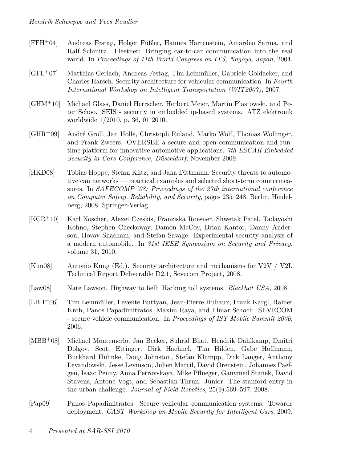- [FFH<sup>+</sup>04] Andreas Festag, Holger Füßler, Hannes Hartenstein, Amardeo Sarma, and Ralf Schmitz. Fleetnet: Bringing car-to-car communication into the real world. In *Proceedings of 11th World Congress on ITS, Nagoya, Japan*, 2004.
- [GFL<sup>+</sup>07] Matthias Gerlach, Andreas Festag, Tim Leinmüller, Gabriele Goldacker, and Charles Harsch. Security architecture for vehicular communication. In *Fourth International Workshop on Intelligent Transportation (WIT2007)*, 2007.
- [GHM<sup>+</sup>10] Michael Glass, Daniel Herrscher, Herbert Meier, Martin Plastowski, and Peter Schoo. SEIS - security in embedded ip-based systems. ATZ elektronik worldwide 1/2010, p. 36, 01 2010.
- [GHR<sup>+</sup>09] André Groll, Jan Holle, Christoph Ruland, Marko Wolf, Thomas Wollinger, and Frank Zweers. OVERSEE a secure and open communication and runtime platform for innovative automotive applications. *7th ESCAR Embedded Security in Cars Conference, Düsseldorf*, November 2009.
- [HKD08] Tobias Hoppe, Stefan Kiltz, and Jana Dittmann. Security threats to automotive can networks — practical examples and selected short-term countermeasures. In *SAFECOMP '08: Proceedings of the 27th international conference on Computer Safety, Reliability, and Security*, pages 235–248, Berlin, Heidelberg, 2008. Springer-Verlag.
- [KCR<sup>+</sup>10] Karl Koscher, Alexei Czeskis, Franziska Roesner, Shwetak Patel, Tadayoshi Kohno, Stephen Checkoway, Damon McCoy, Brian Kantor, Danny Anderson, Hovav Shacham, and Stefan Savage. Experimental security analysis of a modern automobile. In *31st IEEE Symposium on Security and Privacy*, volume 31, 2010.
- [Kun08] Antonio Kung (Ed.). Security architecture and mechanisms for V2V / V2I. Technical Report Deliverable D2.1, Sevecom Project, 2008.
- [Law08] Nate Lawson. Highway to hell: Hacking toll systems. *Blackhat USA*, 2008.
- [LBH<sup>+</sup>06] Tim Leinmüller, Levente Buttyan, Jean-Pierre Hubaux, Frank Kargl, Rainer Kroh, Panos Papadimitratos, Maxim Raya, and Elmar Schoch. SEVECOM - secure vehicle communication. In *Proceedings of IST Mobile Summit 2006*, 2006.
- [MBB<sup>+</sup>08] Michael Montemerlo, Jan Becker, Suhrid Bhat, Hendrik Dahlkamp, Dmitri Dolgov, Scott Ettinger, Dirk Haehnel, Tim Hilden, Gabe Hoffmann, Burkhard Huhnke, Doug Johnston, Stefan Klumpp, Dirk Langer, Anthony Levandowski, Jesse Levinson, Julien Marcil, David Orenstein, Johannes Paefgen, Isaac Penny, Anna Petrovskaya, Mike Pflueger, Ganymed Stanek, David Stavens, Antone Vogt, and Sebastian Thrun. Junior: The stanford entry in the urban challenge. *Journal of Field Robotics*, 25(9):569–597, 2008.
- [Pap09] Panos Papadimitratos. Secure vehicular communication systems: Towards deployment. *CAST Workshop on Mobile Security for Intelligent Cars*, 2009.